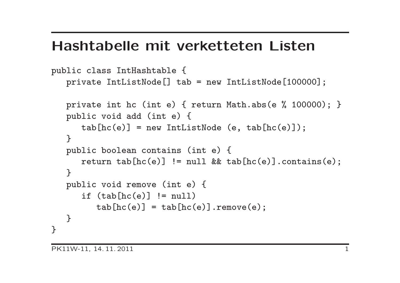#### Hashtabelle mit verketteten Listen

```
public class IntHashtable {
  private IntListNode[] tab = new IntListNode[100000];
  private int hc (int e) { return Math.abs(e % 100000); }
  public void add (int e) {
      tab[hc(e)] = new IntListNode(e, tab[hc(e)]);}
  public boolean contains (int e) {
      return tab[hc(e)] != null && tab[hc(e)].contains(e);
   }
  public void remove (int e) {
      if (tab[hc(e)] != null)tab[hc(e)] = tab[hc(e)]. remove(e);
   }
}
```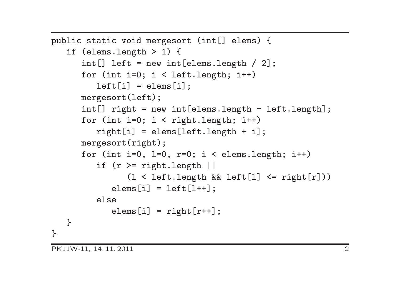```
public static void mergesort (int[] elems) {
   if (elems.length > 1) {
      int[] left = new int[elems.length / 2];
      for (int i=0; i < left.length; i++)
         left[i] = elements[i];mergesort(left);
      int[] right = new int[elems.length - left.length];
      for (int i=0; i < right.length; i++)right[i] = elems[left.length + i];
      mergesort(right);
      for (int i=0, 1=0, r=0; i < elems.length; i++)
         if (r \geq r) right. length ||(l < left.length && left[l] <= right[r]))
            elems[i] = left[1++];else
            elems[i] = right[r++];
   }
}
```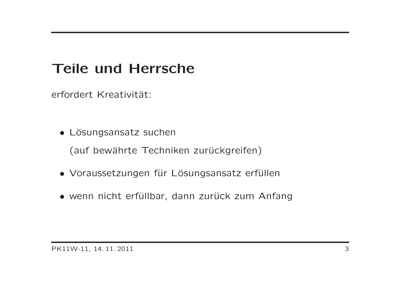# Teile und Herrsche

erfordert Kreativität:

• Lösungsansatz suchen

(auf bewährte Techniken zurückgreifen)

- Voraussetzungen für Lösungsansatz erfüllen
- wenn nicht erfüllbar, dann zurück zum Anfang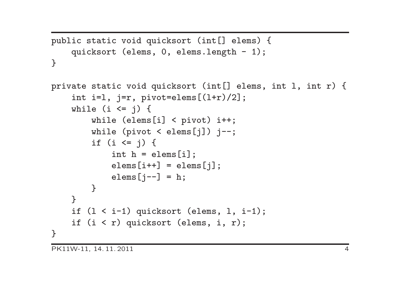```
public static void quicksort (int[] elems) {
    quicksort (elems, 0, elems.length - 1);
}
```

```
private static void quicksort (int[] elems, int l, int r) {
    int i=1, j=r, pivot=elements[(1+r)/2];
    while (i \le j) {
         while (elems[i] < pivot) i++;
         while (pivot \leq elems[j]) j--;
         if (i \leq j) {
             int h = elems[i];\text{elems}[i++] = \text{elems}[j];\text{elems}[j--] = h;}
    \mathcal{L}if (l < i-1) quicksort (elems, l, i-1);
    if (i < r) quicksort (elems, i, r);
}
```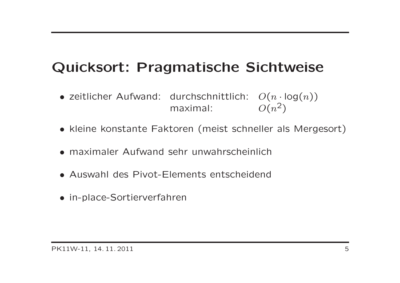# Quicksort: Pragmatische Sichtweise

- zeitlicher Aufwand: durchschnittlich:  $O(n \cdot log(n))$ maximal:  $O(n^2)$
- kleine konstante Faktoren (meist schneller als Mergesort)
- maximaler Aufwand sehr unwahrscheinlich
- Auswahl des Pivot-Elements entscheidend
- in-place-Sortierverfahren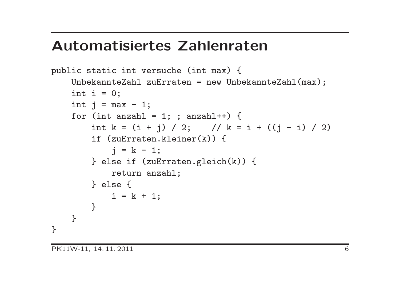## Automatisiertes Zahlenraten

```
public static int versuche (int max) {
    UnbekannteZahl zuErraten = new UnbekannteZahl(max);
    int i = 0;
    int j = max - 1;
    for (int anzahl = 1; ; anzahl++) {
        int k = (i + j) / 2; // k = i + ((j - i) / 2)if (zuErraten.kleiner(k)) {
            j = k - 1;} else if (zuErraten.gleich(k)) {
            return anzahl;
        } else {
            i = k + 1;}
    }
}
```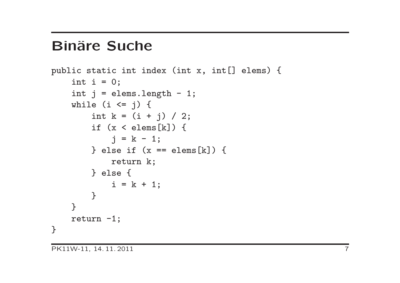## **Binäre Suche**

```
public static int index (int x, int[] elems) {
    int i = 0;
    int j = elems.length - 1;
    while (i \leq j) {
        int k = (i + j) / 2;if (x < \text{elements}[k]) {
            j = k - 1;} else if (x == elems[k]) {
            return k;
        } else {
            i = k + 1;}
    }
    return -1;
}
```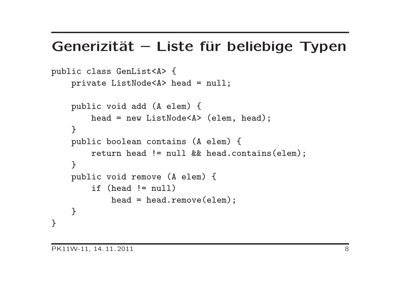#### Generizität – Liste für beliebige Typen

```
public class GenList<A> {
    private ListNode<A> head = null;
    public void add (A elem) {
        head = new ListNode<A> (elem, head);
    }
    public boolean contains (A elem) {
        return head != null && head.contains(elem);
    }
    public void remove (A elem) {
        if (head != null)
            head = head.remove(elem);
    }
}
```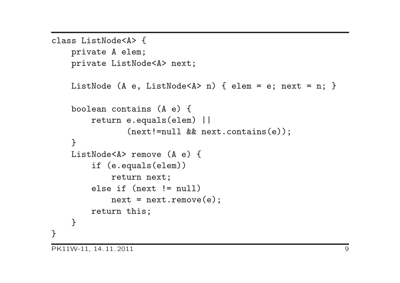```
class ListNode<A> {
    private A elem;
    private ListNode<A> next;
    ListNode (A e, ListNode<A> n) { elem = e; next = n; }
    boolean contains (A e) {
        return e.equals(elem) ||
               (next!=null && next.contains(e));
    \mathcal{F}ListNode<A> remove (A e) {
        if (e.equals(elem))
            return next;
        else if (next != null)
            next = next.remove(e);return this;
    }
}
```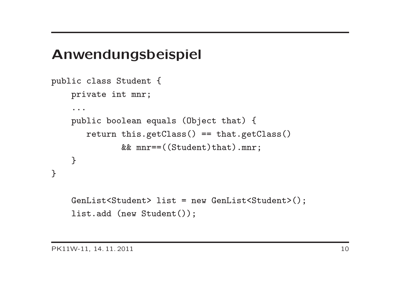## Anwendungsbeispiel

```
public class Student {
    private int mnr;
    ...
    public boolean equals (Object that) {
       return this.getClass() == that.getClass()
              && mnr==((Student)that).mnr;
    }
}
    GenList<Student> list = new GenList<Student>();
```

```
list.add (new Student());
```